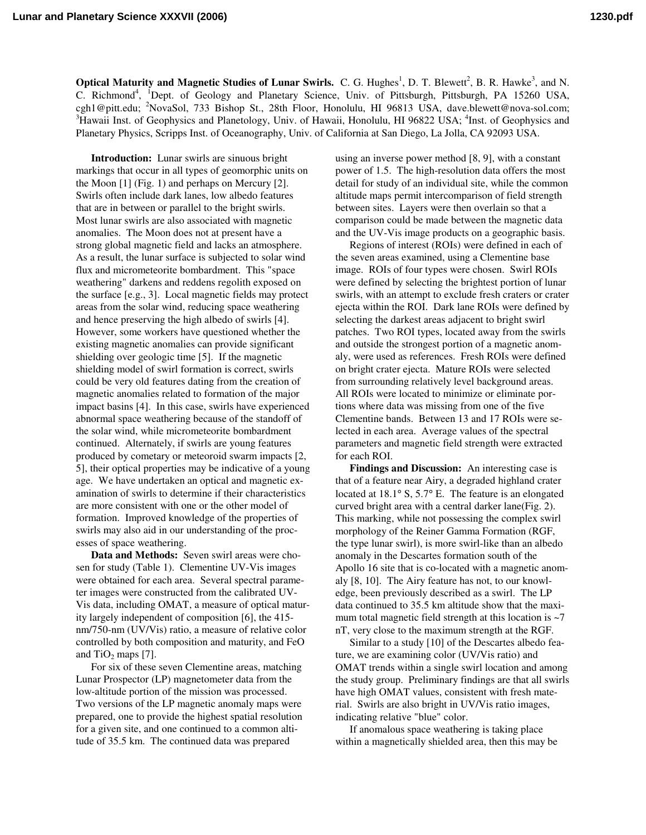**Lunar and Planetary Science XXXVII (2006) 1230.pdf**

**Optical Maturity and Magnetic Studies of Lunar Swirls.** C. G. Hughes<sup>1</sup>, D. T. Blewett<sup>2</sup>, B. R. Hawke<sup>3</sup>, and N. C. Richmond<sup>4</sup>, <sup>1</sup>Dept. of Geology and Planetary Science, Univ. of Pittsburgh, Pittsburgh, PA 15260 USA, cgh1@pitt.edu; <sup>2</sup>NovaSol, 733 Bishop St., 28th Floor, Honolulu, HI 96813 USA, dave.blewett@nova-sol.com; <sup>3</sup>Hawaii Inst. of Geophysics and Planetology, Univ. of Hawaii, Honolulu, HI 96822 USA; <sup>4</sup>Inst. of Geophysics and Planetary Physics, Scripps Inst. of Oceanography, Univ. of California at San Diego, La Jolla, CA 92093 USA.

**Introduction:** Lunar swirls are sinuous bright markings that occur in all types of geomorphic units on the Moon [1] (Fig. 1) and perhaps on Mercury [2]. Swirls often include dark lanes, low albedo features that are in between or parallel to the bright swirls. Most lunar swirls are also associated with magnetic anomalies. The Moon does not at present have a strong global magnetic field and lacks an atmosphere. As a result, the lunar surface is subjected to solar wind flux and micrometeorite bombardment. This "space weathering" darkens and reddens regolith exposed on the surface [e.g., 3]. Local magnetic fields may protect areas from the solar wind, reducing space weathering and hence preserving the high albedo of swirls [4]. However, some workers have questioned whether the existing magnetic anomalies can provide significant shielding over geologic time [5]. If the magnetic shielding model of swirl formation is correct, swirls could be very old features dating from the creation of magnetic anomalies related to formation of the major impact basins [4]. In this case, swirls have experienced abnormal space weathering because of the standoff of the solar wind, while micrometeorite bombardment continued. Alternately, if swirls are young features produced by cometary or meteoroid swarm impacts [2, 5], their optical properties may be indicative of a young age. We have undertaken an optical and magnetic examination of swirls to determine if their characteristics are more consistent with one or the other model of formation. Improved knowledge of the properties of swirls may also aid in our understanding of the processes of space weathering.

**Data and Methods:** Seven swirl areas were chosen for study (Table 1). Clementine UV-Vis images were obtained for each area. Several spectral parameter images were constructed from the calibrated UV-Vis data, including OMAT, a measure of optical maturity largely independent of composition [6], the 415 nm/750-nm (UV/Vis) ratio, a measure of relative color controlled by both composition and maturity, and FeO and  $TiO<sub>2</sub>$  maps [7].

For six of these seven Clementine areas, matching Lunar Prospector (LP) magnetometer data from the low-altitude portion of the mission was processed. Two versions of the LP magnetic anomaly maps were prepared, one to provide the highest spatial resolution for a given site, and one continued to a common altitude of 35.5 km. The continued data was prepared

using an inverse power method [8, 9], with a constant power of 1.5. The high-resolution data offers the most detail for study of an individual site, while the common altitude maps permit intercomparison of field strength between sites. Layers were then overlain so that a comparison could be made between the magnetic data and the UV-Vis image products on a geographic basis.

Regions of interest (ROIs) were defined in each of the seven areas examined, using a Clementine base image. ROIs of four types were chosen. Swirl ROIs were defined by selecting the brightest portion of lunar swirls, with an attempt to exclude fresh craters or crater ejecta within the ROI. Dark lane ROIs were defined by selecting the darkest areas adjacent to bright swirl patches. Two ROI types, located away from the swirls and outside the strongest portion of a magnetic anomaly, were used as references. Fresh ROIs were defined on bright crater ejecta. Mature ROIs were selected from surrounding relatively level background areas. All ROIs were located to minimize or eliminate portions where data was missing from one of the five Clementine bands. Between 13 and 17 ROIs were selected in each area. Average values of the spectral parameters and magnetic field strength were extracted for each ROI.

**Findings and Discussion:** An interesting case is that of a feature near Airy, a degraded highland crater located at 18.1° S, 5.7° E. The feature is an elongated curved bright area with a central darker lane(Fig. 2). This marking, while not possessing the complex swirl morphology of the Reiner Gamma Formation (RGF, the type lunar swirl), is more swirl-like than an albedo anomaly in the Descartes formation south of the Apollo 16 site that is co-located with a magnetic anomaly [8, 10]. The Airy feature has not, to our knowledge, been previously described as a swirl. The LP data continued to 35.5 km altitude show that the maximum total magnetic field strength at this location is  $\sim$ 7 nT, very close to the maximum strength at the RGF.

Similar to a study [10] of the Descartes albedo feature, we are examining color (UV/Vis ratio) and OMAT trends within a single swirl location and among the study group. Preliminary findings are that all swirls have high OMAT values, consistent with fresh material. Swirls are also bright in UV/Vis ratio images, indicating relative "blue" color.

If anomalous space weathering is taking place within a magnetically shielded area, then this may be